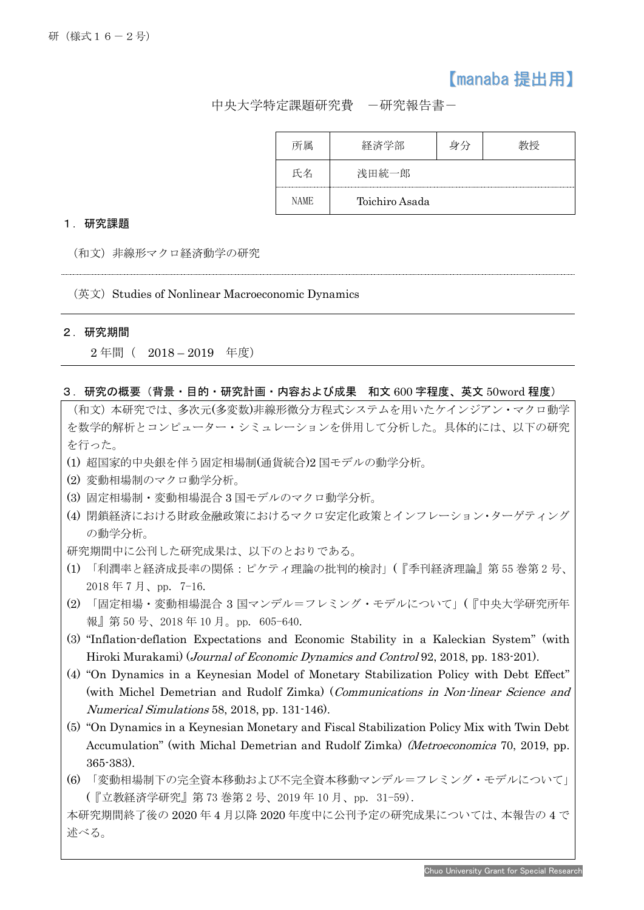# 【manaba 提出用】

中央大学特定課題研究費 -研究報告書-

| 所属   | 経済学部           | 身分 |  |
|------|----------------|----|--|
| 氏名   | 浅田統一郎          |    |  |
| NAME | Toichiro Asada |    |  |

#### 1.研究課題

(和文)非線形マクロ経済動学の研究

(英文) Studies of Nonlinear Macroeconomic Dynamics

#### 2.研究期間

j

2 年間( 2018 – 2019 年度)

### 3.研究の概要(背景・目的・研究計画・内容および成果 和文 600 字程度、英文 50word 程度)

(和文)本研究では、多次元(多変数)非線形微分方程式システムを用いたケインジアン・マクロ動学 を数学的解析とコンピューター・シミュレーションを併用して分析した。具体的には、以下の研究 を行った。

- (1) 超国家的中央銀を伴う固定相場制(通貨統合)2 国モデルの動学分析。
- (2) 変動相場制のマクロ動学分析。
- (3) 固定相場制・変動相場混合 3 国モデルのマクロ動学分析。
- (4) 閉鎖経済における財政金融政策におけるマクロ安定化政策とインフレーション・ターゲティング の動学分析。
- 研究期間中に公刊した研究成果は、以下のとおりである。
- (1) 「利潤率と経済成長率の関係:ピケティ理論の批判的検討」(『季刊経済理論』第 55 巻第 2 号、 2018 年 7 月、pp. 7-16.
- (2) 「固定相場・変動相場混合 3 国マンデル=フレミング・モデルについて」(『中央大学研究所年 報』第 50 号、2018 年 10 月。pp. 605-640.
- (3) "Inflation-deflation Expectations and Economic Stability in a Kaleckian System" (with Hiroki Murakami) (Journal of Economic Dynamics and Control 92, 2018, pp. 183-201).
- (4) "On Dynamics in a Keynesian Model of Monetary Stabilization Policy with Debt Effect" (with Michel Demetrian and Rudolf Zimka) (Communications in Non-linear Science and Numerical Simulations 58, 2018, pp. 131-146).
- (5) "On Dynamics in a Keynesian Monetary and Fiscal Stabilization Policy Mix with Twin Debt Accumulation" (with Michal Demetrian and Rudolf Zimka) (Metroeconomica 70, 2019, pp. 365-383).
- (6) 「変動相場制下の完全資本移動および不完全資本移動マンデル=フレミング・モデルについて」 (『立教経済学研究』第 73 巻第 2 号、2019 年 10 月、pp. 31-59).

本研究期間終了後の 2020 年 4 月以降 2020 年度中に公刊予定の研究成果については、本報告の 4 で 述べる。